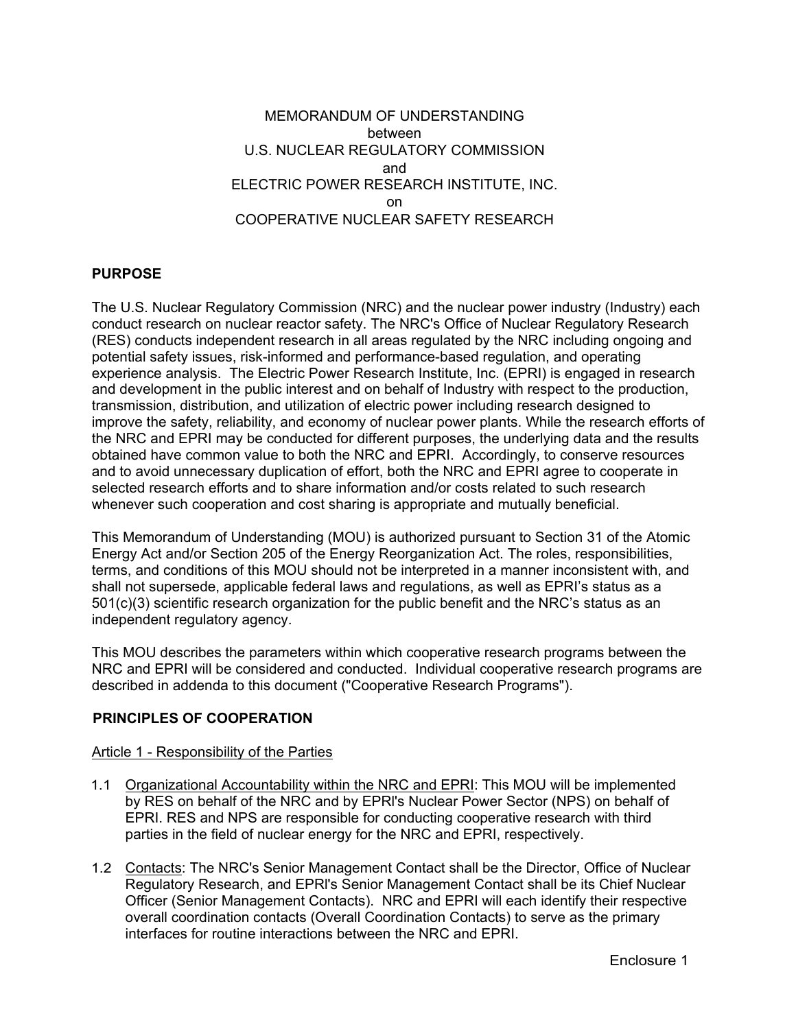# MEMORANDUM OF UNDERSTANDING between U.S. NUCLEAR REGULATORY COMMISSION and ELECTRIC POWER RESEARCH INSTITUTE, INC. on COOPERATIVE NUCLEAR SAFETY RESEARCH

## **PURPOSE**

The U.S. Nuclear Regulatory Commission (NRC) and the nuclear power industry (Industry) each conduct research on nuclear reactor safety. The NRC's Office of Nuclear Regulatory Research (RES) conducts independent research in all areas regulated by the NRC including ongoing and potential safety issues, risk-informed and performance-based regulation, and operating experience analysis. The Electric Power Research Institute, Inc. (EPRI) is engaged in research and development in the public interest and on behalf of Industry with respect to the production, transmission, distribution, and utilization of electric power including research designed to improve the safety, reliability, and economy of nuclear power plants. While the research efforts of the NRC and EPRI may be conducted for different purposes, the underlying data and the results obtained have common value to both the NRC and EPRI. Accordingly, to conserve resources and to avoid unnecessary duplication of effort, both the NRC and EPRI agree to cooperate in selected research efforts and to share information and/or costs related to such research whenever such cooperation and cost sharing is appropriate and mutually beneficial.

This Memorandum of Understanding (MOU) is authorized pursuant to Section 31 of the Atomic Energy Act and/or Section 205 of the Energy Reorganization Act. The roles, responsibilities, terms, and conditions of this MOU should not be interpreted in a manner inconsistent with, and shall not supersede, applicable federal laws and regulations, as well as EPRI's status as a 501(c)(3) scientific research organization for the public benefit and the NRC's status as an independent regulatory agency.

This MOU describes the parameters within which cooperative research programs between the NRC and EPRI will be considered and conducted. Individual cooperative research programs are described in addenda to this document ("Cooperative Research Programs").

## **PRINCIPLES OF COOPERATION**

## Article 1 - Responsibility of the Parties

- 1.1 Organizational Accountability within the NRC and EPRI: This MOU will be implemented by RES on behalf of the NRC and by EPRl's Nuclear Power Sector (NPS) on behalf of EPRI. RES and NPS are responsible for conducting cooperative research with third parties in the field of nuclear energy for the NRC and EPRI, respectively.
- 1.2 Contacts: The NRC's Senior Management Contact shall be the Director, Office of Nuclear Regulatory Research, and EPRl's Senior Management Contact shall be its Chief Nuclear Officer (Senior Management Contacts). NRC and EPRI will each identify their respective overall coordination contacts (Overall Coordination Contacts) to serve as the primary interfaces for routine interactions between the NRC and EPRI.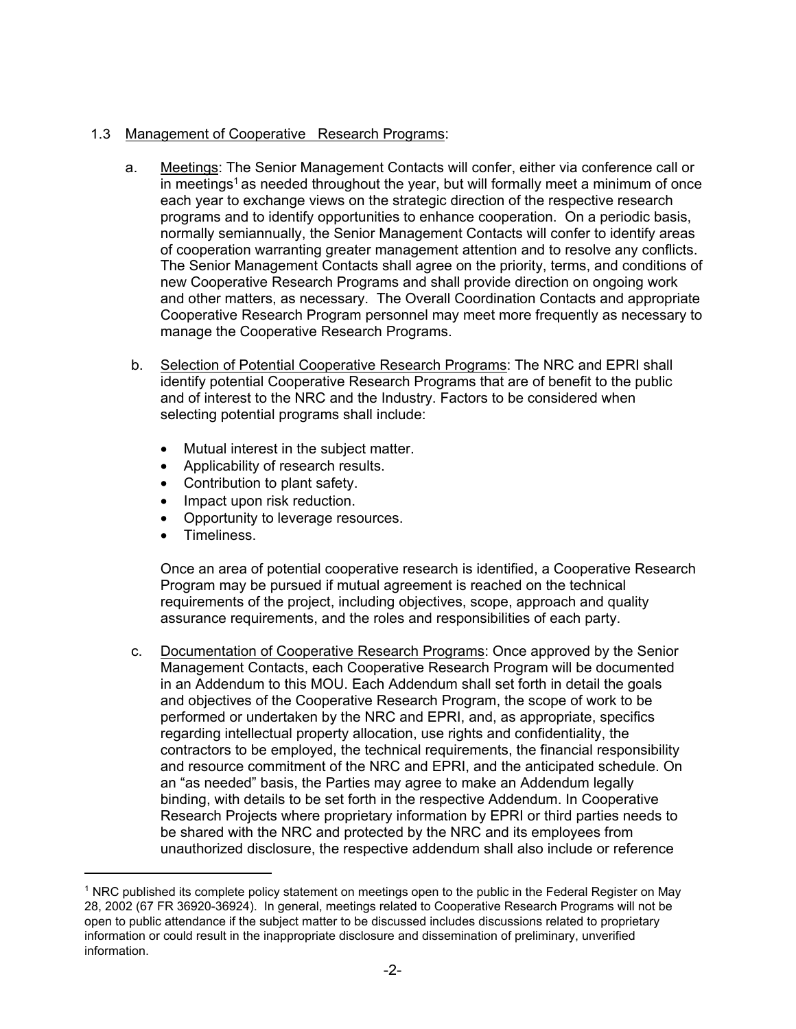# 1.3 Management of Cooperative Research Programs:

- a. Meetings: The Senior Management Contacts will confer, either via conference call or in meetings<sup>1</sup> as needed throughout the year, but will formally meet a minimum of once each year to exchange views on the strategic direction of the respective research programs and to identify opportunities to enhance cooperation. On a periodic basis, normally semiannually, the Senior Management Contacts will confer to identify areas of cooperation warranting greater management attention and to resolve any conflicts. The Senior Management Contacts shall agree on the priority, terms, and conditions of new Cooperative Research Programs and shall provide direction on ongoing work and other matters, as necessary. The Overall Coordination Contacts and appropriate Cooperative Research Program personnel may meet more frequently as necessary to manage the Cooperative Research Programs.
- b. Selection of Potential Cooperative Research Programs: The NRC and EPRI shall identify potential Cooperative Research Programs that are of benefit to the public and of interest to the NRC and the Industry. Factors to be considered when selecting potential programs shall include:
	- Mutual interest in the subject matter.
	- Applicability of research results.
	- Contribution to plant safety.
	- Impact upon risk reduction.
	- Opportunity to leverage resources.
	- Timeliness.

 $\overline{\phantom{a}}$ 

Once an area of potential cooperative research is identified, a Cooperative Research Program may be pursued if mutual agreement is reached on the technical requirements of the project, including objectives, scope, approach and quality assurance requirements, and the roles and responsibilities of each party.

c. Documentation of Cooperative Research Programs: Once approved by the Senior Management Contacts, each Cooperative Research Program will be documented in an Addendum to this MOU. Each Addendum shall set forth in detail the goals and objectives of the Cooperative Research Program, the scope of work to be performed or undertaken by the NRC and EPRI, and, as appropriate, specifics regarding intellectual property allocation, use rights and confidentiality, the contractors to be employed, the technical requirements, the financial responsibility and resource commitment of the NRC and EPRI, and the anticipated schedule. On an "as needed" basis, the Parties may agree to make an Addendum legally binding, with details to be set forth in the respective Addendum. In Cooperative Research Projects where proprietary information by EPRI or third parties needs to be shared with the NRC and protected by the NRC and its employees from unauthorized disclosure, the respective addendum shall also include or reference

<sup>&</sup>lt;sup>1</sup> NRC published its complete policy statement on meetings open to the public in the Federal Register on May 28, 2002 (67 FR 36920-36924). In general, meetings related to Cooperative Research Programs will not be open to public attendance if the subject matter to be discussed includes discussions related to proprietary information or could result in the inappropriate disclosure and dissemination of preliminary, unverified information.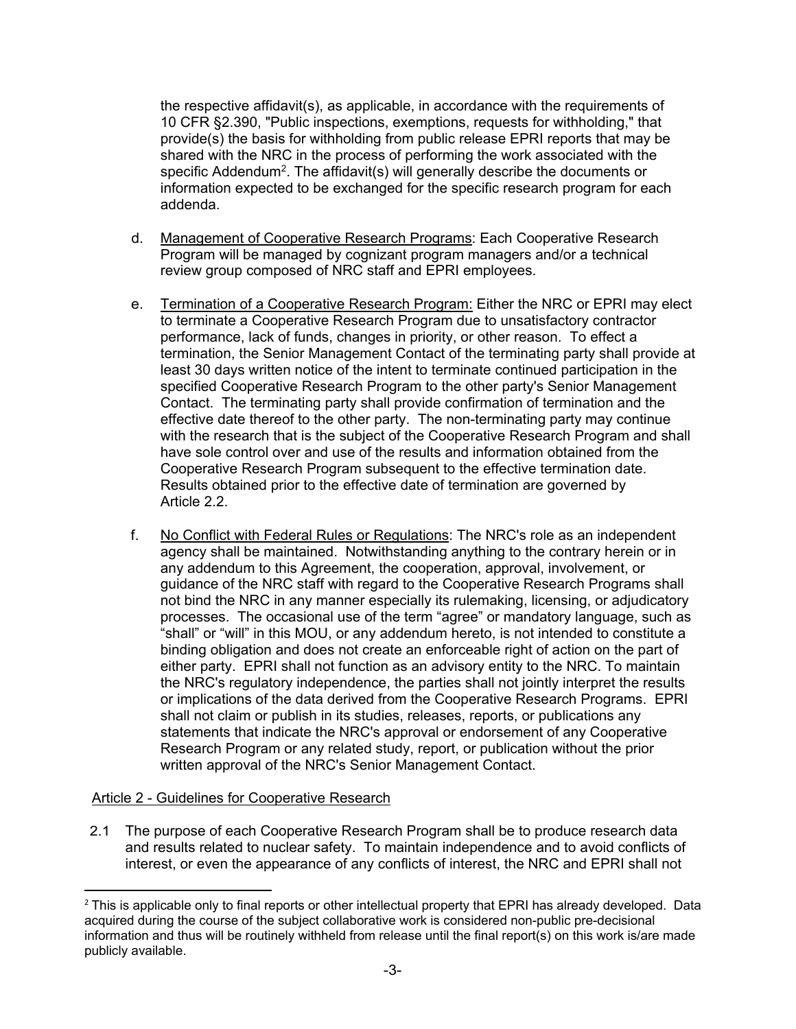the respective affidavit(s), as applicable, in accordance with the requirements of 10 CFR §2.390, "Public inspections, exemptions, requests for withholding," that provide(s) the basis for withholding from public release EPRI reports that may be shared with the NRC in the process of performing the work associated with the specific Addendum<sup>2</sup>. The affidavit(s) will generally describe the documents or information expected to be exchanged for the specific research program for each addenda.

- d. Management of Cooperative Research Programs: Each Cooperative Research Program will be managed by cognizant program managers and/or a technical review group composed of NRC staff and EPRI employees.
- e. Termination of a Cooperative Research Program: Either the NRC or EPRI may elect to terminate a Cooperative Research Program due to unsatisfactory contractor performance, lack of funds, changes in priority, or other reason. To effect a termination, the Senior Management Contact of the terminating party shall provide at least 30 days written notice of the intent to terminate continued participation in the specified Cooperative Research Program to the other party's Senior Management Contact. The terminating party shall provide confirmation of termination and the effective date thereof to the other party. The non-terminating party may continue with the research that is the subject of the Cooperative Research Program and shall have sole control over and use of the results and information obtained from the Cooperative Research Program subsequent to the effective termination date. Results obtained prior to the effective date of termination are governed by Article 2.2.
- f. No Conflict with Federal Rules or Regulations: The NRC's role as an independent agency shall be maintained. Notwithstanding anything to the contrary herein or in any addendum to this Agreement, the cooperation, approval, involvement, or guidance of the NRC staff with regard to the Cooperative Research Programs shall not bind the NRC in any manner especially its rulemaking, licensing, or adjudicatory processes. The occasional use of the term "agree" or mandatory language, such as "shall" or "will" in this MOU, or any addendum hereto, is not intended to constitute a binding obligation and does not create an enforceable right of action on the part of either party. EPRI shall not function as an advisory entity to the NRC. To maintain the NRC's regulatory independence, the parties shall not jointly interpret the results or implications of the data derived from the Cooperative Research Programs. EPRI shall not claim or publish in its studies, releases, reports, or publications any statements that indicate the NRC's approval or endorsement of any Cooperative Research Program or any related study, report, or publication without the prior written approval of the NRC's Senior Management Contact.

## Article 2 - Guidelines for Cooperative Research

 $\overline{\phantom{a}}$ 

2.1 The purpose of each Cooperative Research Program shall be to produce research data and results related to nuclear safety. To maintain independence and to avoid conflicts of interest, or even the appearance of any conflicts of interest, the NRC and EPRI shall not

<sup>&</sup>lt;sup>2</sup> This is applicable only to final reports or other intellectual property that EPRI has already developed. Data acquired during the course of the subject collaborative work is considered non-public pre-decisional information and thus will be routinely withheld from release until the final report(s) on this work is/are made publicly available.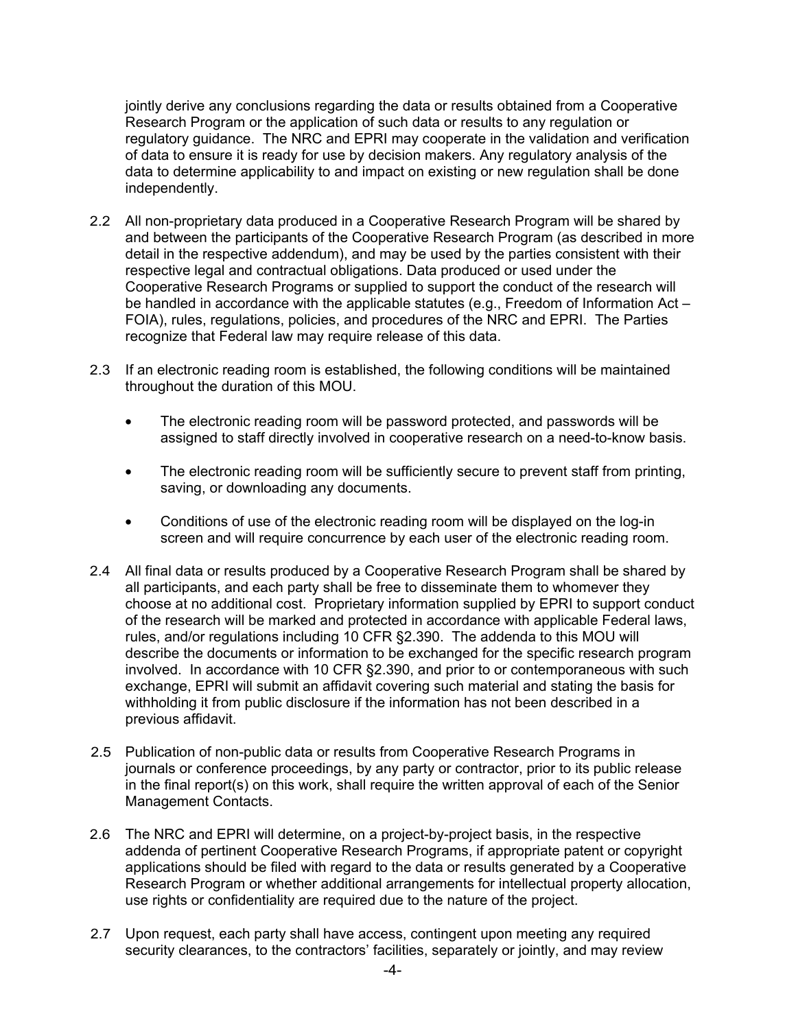jointly derive any conclusions regarding the data or results obtained from a Cooperative Research Program or the application of such data or results to any regulation or regulatory guidance. The NRC and EPRI may cooperate in the validation and verification of data to ensure it is ready for use by decision makers. Any regulatory analysis of the data to determine applicability to and impact on existing or new regulation shall be done independently.

- 2.2 All non-proprietary data produced in a Cooperative Research Program will be shared by and between the participants of the Cooperative Research Program (as described in more detail in the respective addendum), and may be used by the parties consistent with their respective legal and contractual obligations. Data produced or used under the Cooperative Research Programs or supplied to support the conduct of the research will be handled in accordance with the applicable statutes (e.g., Freedom of Information Act – FOIA), rules, regulations, policies, and procedures of the NRC and EPRI. The Parties recognize that Federal law may require release of this data.
- 2.3 If an electronic reading room is established, the following conditions will be maintained throughout the duration of this MOU.
	- The electronic reading room will be password protected, and passwords will be assigned to staff directly involved in cooperative research on a need-to-know basis.
	- The electronic reading room will be sufficiently secure to prevent staff from printing, saving, or downloading any documents.
	- Conditions of use of the electronic reading room will be displayed on the log-in screen and will require concurrence by each user of the electronic reading room.
- 2.4 All final data or results produced by a Cooperative Research Program shall be shared by all participants, and each party shall be free to disseminate them to whomever they choose at no additional cost. Proprietary information supplied by EPRI to support conduct of the research will be marked and protected in accordance with applicable Federal laws, rules, and/or regulations including 10 CFR §2.390. The addenda to this MOU will describe the documents or information to be exchanged for the specific research program involved. In accordance with 10 CFR §2.390, and prior to or contemporaneous with such exchange, EPRI will submit an affidavit covering such material and stating the basis for withholding it from public disclosure if the information has not been described in a previous affidavit.
- 2.5 Publication of non-public data or results from Cooperative Research Programs in journals or conference proceedings, by any party or contractor, prior to its public release in the final report(s) on this work, shall require the written approval of each of the Senior Management Contacts.
- 2.6 The NRC and EPRI will determine, on a project-by-project basis, in the respective addenda of pertinent Cooperative Research Programs, if appropriate patent or copyright applications should be filed with regard to the data or results generated by a Cooperative Research Program or whether additional arrangements for intellectual property allocation, use rights or confidentiality are required due to the nature of the project.
- 2.7 Upon request, each party shall have access, contingent upon meeting any required security clearances, to the contractors' facilities, separately or jointly, and may review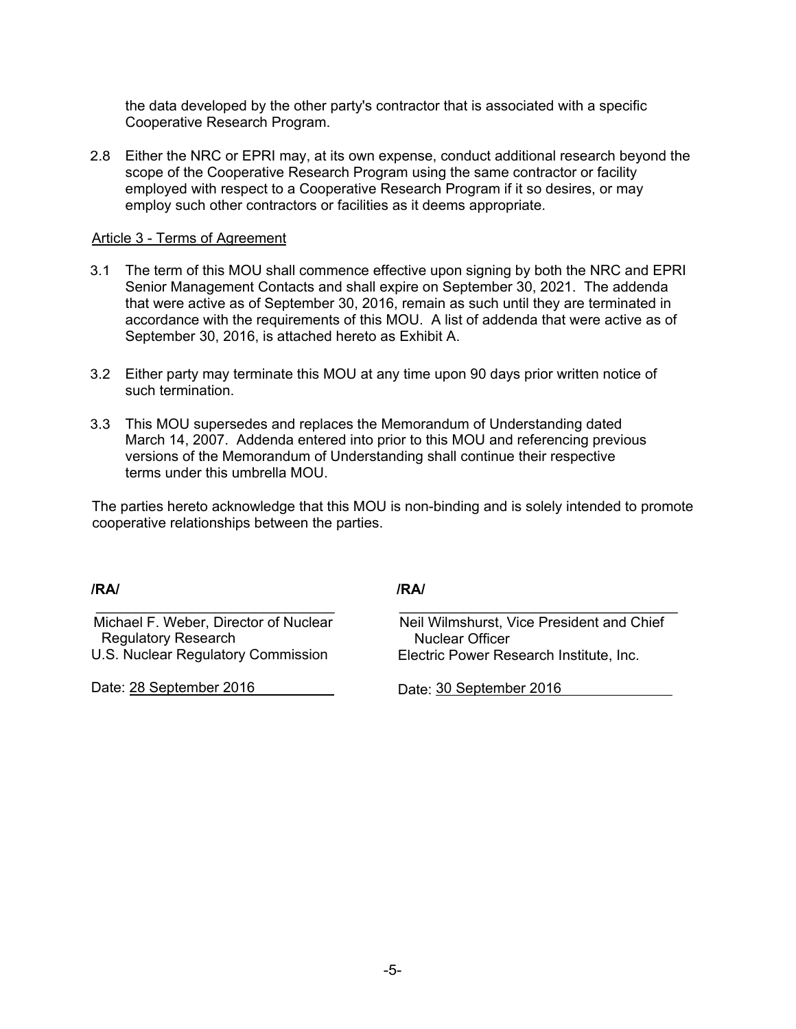the data developed by the other party's contractor that is associated with a specific Cooperative Research Program.

2.8 Either the NRC or EPRI may, at its own expense, conduct additional research beyond the scope of the Cooperative Research Program using the same contractor or facility employed with respect to a Cooperative Research Program if it so desires, or may employ such other contractors or facilities as it deems appropriate.

#### Article 3 - Terms of Agreement

- 3.1 The term of this MOU shall commence effective upon signing by both the NRC and EPRI Senior Management Contacts and shall expire on September 30, 2021. The addenda that were active as of September 30, 2016, remain as such until they are terminated in accordance with the requirements of this MOU. A list of addenda that were active as of September 30, 2016, is attached hereto as Exhibit A.
- 3.2 Either party may terminate this MOU at any time upon 90 days prior written notice of such termination.
- 3.3 This MOU supersedes and replaces the Memorandum of Understanding dated March 14, 2007. Addenda entered into prior to this MOU and referencing previous versions of the Memorandum of Understanding shall continue their respective terms under this umbrella MOU.

The parties hereto acknowledge that this MOU is non-binding and is solely intended to promote cooperative relationships between the parties.

**/RA/ /RA/**

Michael F. Weber, Director of Nuclear Regulatory Research U.S. Nuclear Regulatory Commission

\_\_\_\_\_\_\_\_\_\_\_\_\_\_\_\_\_\_\_\_\_\_\_\_\_\_\_\_\_\_

Date: 28 September 2016

Neil Wilmshurst, Vice President and Chief Nuclear Officer Electric Power Research Institute, Inc.

\_\_\_\_\_\_\_\_\_\_\_\_\_\_\_\_\_\_\_\_\_\_\_\_\_\_\_\_\_\_\_\_\_\_\_

Date: 30 September 2016